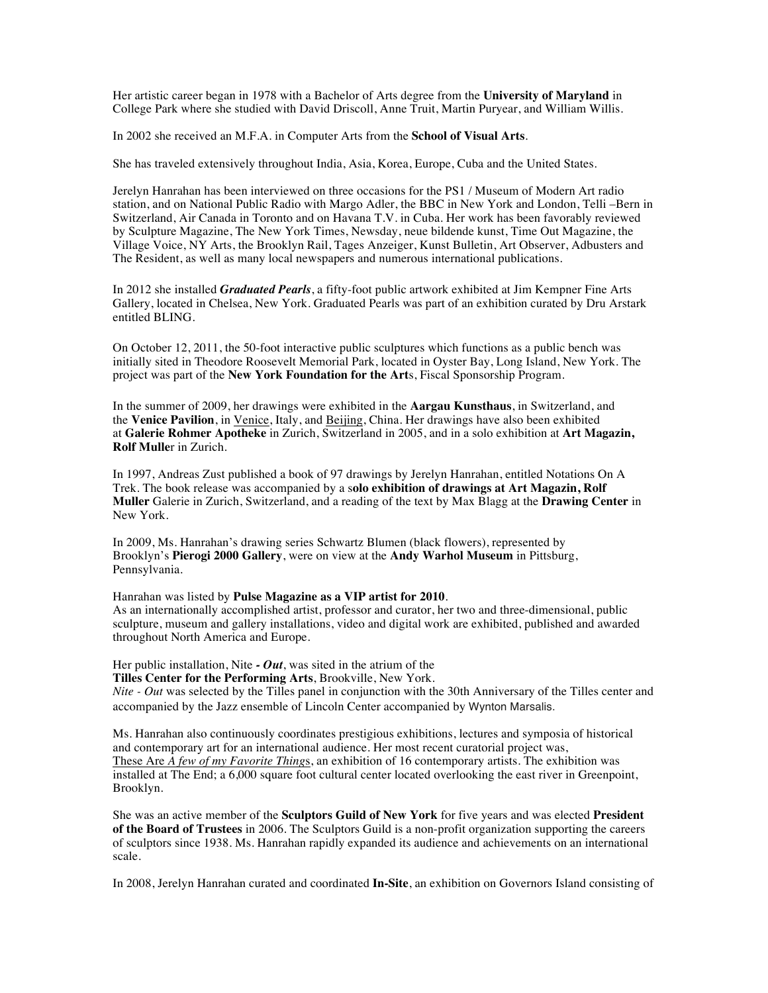Her artistic career began in 1978 with a Bachelor of Arts degree from the **University of Maryland** in College Park where she studied with David Driscoll, Anne Truit, Martin Puryear, and William Willis.

In 2002 she received an M.F.A. in Computer Arts from the **School of Visual Arts**.

She has traveled extensively throughout India, Asia, Korea, Europe, Cuba and the United States.

Jerelyn Hanrahan has been interviewed on three occasions for the PS1 / Museum of Modern Art radio station, and on National Public Radio with Margo Adler, the BBC in New York and London, Telli –Bern in Switzerland, Air Canada in Toronto and on Havana T.V. in Cuba. Her work has been favorably reviewed by Sculpture Magazine, The New York Times, Newsday, neue bildende kunst, Time Out Magazine, the Village Voice, NY Arts, the Brooklyn Rail, Tages Anzeiger, Kunst Bulletin, Art Observer, Adbusters and The Resident, as well as many local newspapers and numerous international publications.

In 2012 she installed *Graduated Pearls*, a fifty-foot public artwork exhibited at Jim Kempner Fine Arts Gallery, located in Chelsea, New York. Graduated Pearls was part of an exhibition curated by Dru Arstark entitled BLING.

On October 12, 2011, the 50-foot interactive public sculptures which functions as a public bench was initially sited in Theodore Roosevelt Memorial Park, located in Oyster Bay, Long Island, New York. The project was part of the **New York Foundation for the Art**s, Fiscal Sponsorship Program.

In the summer of 2009, her drawings were exhibited in the **Aargau Kunsthaus**, in Switzerland, and the **Venice Pavilion**, in Venice, Italy, and Beijing, China. Her drawings have also been exhibited at **Galerie Rohmer Apotheke** in Zurich, Switzerland in 2005, and in a solo exhibition at **Art Magazin, Rolf Mulle**r in Zurich.

In 1997, Andreas Zust published a book of 97 drawings by Jerelyn Hanrahan, entitled Notations On A Trek. The book release was accompanied by a s**olo exhibition of drawings at Art Magazin, Rolf Muller** Galerie in Zurich, Switzerland, and a reading of the text by Max Blagg at the **Drawing Center** in New York.

In 2009, Ms. Hanrahan's drawing series Schwartz Blumen (black flowers), represented by Brooklyn's **Pierogi 2000 Gallery**, were on view at the **Andy Warhol Museum** in Pittsburg, Pennsylvania.

Hanrahan was listed by **Pulse Magazine as a VIP artist for 2010**. As an internationally accomplished artist, professor and curator, her two and three-dimensional, public sculpture, museum and gallery installations, video and digital work are exhibited, published and awarded throughout North America and Europe.

Her public installation, Nite *- Out*, was sited in the atrium of the **Tilles Center for the Performing Arts**, Brookville, New York.

*Nite - Out* was selected by the Tilles panel in conjunction with the 30th Anniversary of the Tilles center and accompanied by the Jazz ensemble of Lincoln Center accompanied by Wynton Marsalis.

Ms. Hanrahan also continuously coordinates prestigious exhibitions, lectures and symposia of historical and contemporary art for an international audience. Her most recent curatorial project was, These Are *A few of my Favorite Thing*s, an exhibition of 16 contemporary artists. The exhibition was installed at The End; a 6,000 square foot cultural center located overlooking the east river in Greenpoint, Brooklyn.

She was an active member of the **Sculptors Guild of New York** for five years and was elected **President of the Board of Trustees** in 2006. The Sculptors Guild is a non-profit organization supporting the careers of sculptors since 1938. Ms. Hanrahan rapidly expanded its audience and achievements on an international scale.

In 2008, Jerelyn Hanrahan curated and coordinated **In-Site**, an exhibition on Governors Island consisting of